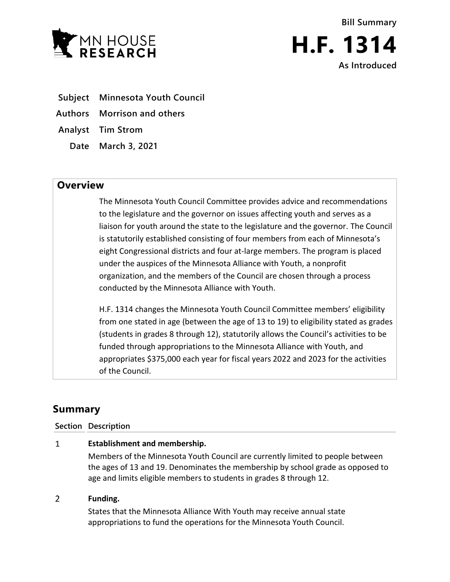

**Bill Summary H.F. 1314**

**As Introduced**

- **Subject Minnesota Youth Council**
- **Authors Morrison and others**
- **Analyst Tim Strom**
	- **Date March 3, 2021**

## **Overview**

The Minnesota Youth Council Committee provides advice and recommendations to the legislature and the governor on issues affecting youth and serves as a liaison for youth around the state to the legislature and the governor. The Council is statutorily established consisting of four members from each of Minnesota's eight Congressional districts and four at-large members. The program is placed under the auspices of the Minnesota Alliance with Youth, a nonprofit organization, and the members of the Council are chosen through a process conducted by the Minnesota Alliance with Youth.

H.F. 1314 changes the Minnesota Youth Council Committee members' eligibility from one stated in age (between the age of 13 to 19) to eligibility stated as grades (students in grades 8 through 12), statutorily allows the Council's activities to be funded through appropriations to the Minnesota Alliance with Youth, and appropriates \$375,000 each year for fiscal years 2022 and 2023 for the activities of the Council.

# **Summary**

### **Section Description**

#### $\mathbf{1}$ **Establishment and membership.**

Members of the Minnesota Youth Council are currently limited to people between the ages of 13 and 19. Denominates the membership by school grade as opposed to age and limits eligible members to students in grades 8 through 12.

#### $\overline{2}$ **Funding.**

States that the Minnesota Alliance With Youth may receive annual state appropriations to fund the operations for the Minnesota Youth Council.